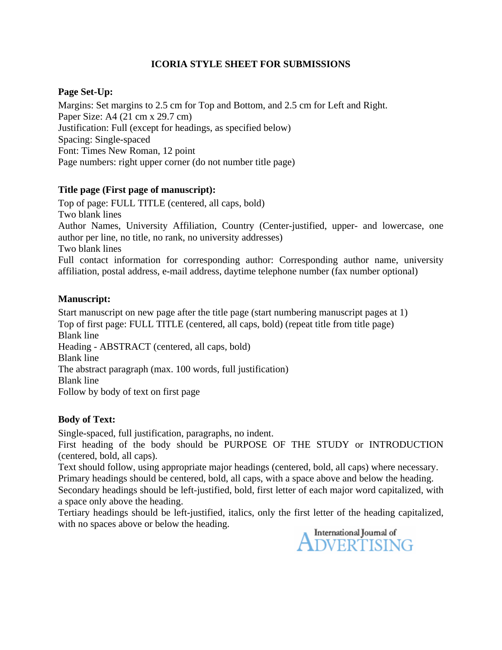# **ICORIA STYLE SHEET FOR SUBMISSIONS**

# **Page Set-Up:**

Margins: Set margins to 2.5 cm for Top and Bottom, and 2.5 cm for Left and Right. Paper Size: A4 (21 cm x 29.7 cm) Justification: Full (except for headings, as specified below) Spacing: Single-spaced Font: Times New Roman, 12 point Page numbers: right upper corner (do not number title page)

# **Title page (First page of manuscript):**

Top of page: FULL TITLE (centered, all caps, bold) Two blank lines Author Names, University Affiliation, Country (Center-justified, upper- and lowercase, one author per line, no title, no rank, no university addresses) Two blank lines Full contact information for corresponding author: Corresponding author name, university affiliation, postal address, e-mail address, daytime telephone number (fax number optional)

## **Manuscript:**

Start manuscript on new page after the title page (start numbering manuscript pages at 1) Top of first page: FULL TITLE (centered, all caps, bold) (repeat title from title page) Blank line Heading - ABSTRACT (centered, all caps, bold) Blank line The abstract paragraph (max. 100 words, full justification) Blank line Follow by body of text on first page

# **Body of Text:**

Single-spaced, full justification, paragraphs, no indent.

First heading of the body should be PURPOSE OF THE STUDY or INTRODUCTION (centered, bold, all caps).

Text should follow, using appropriate major headings (centered, bold, all caps) where necessary. Primary headings should be centered, bold, all caps, with a space above and below the heading. Secondary headings should be left-justified, bold, first letter of each major word capitalized, with a space only above the heading.

Tertiary headings should be left-justified, italics, only the first letter of the heading capitalized, with no spaces above or below the heading.

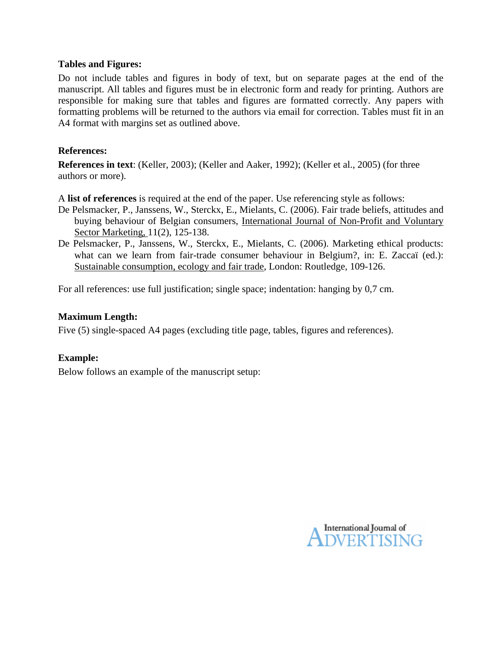## **Tables and Figures:**

Do not include tables and figures in body of text, but on separate pages at the end of the manuscript. All tables and figures must be in electronic form and ready for printing. Authors are responsible for making sure that tables and figures are formatted correctly. Any papers with formatting problems will be returned to the authors via email for correction. Tables must fit in an A4 format with margins set as outlined above.

## **References:**

**References in text**: (Keller, 2003); (Keller and Aaker, 1992); (Keller et al., 2005) (for three authors or more).

A **list of references** is required at the end of the paper. Use referencing style as follows:

- De Pelsmacker, P., Janssens, W., Sterckx, E., Mielants, C. (2006). Fair trade beliefs, attitudes and buying behaviour of Belgian consumers, International Journal of Non-Profit and Voluntary Sector Marketing, 11(2), 125-138.
- De Pelsmacker, P., Janssens, W., Sterckx, E., Mielants, C. (2006). Marketing ethical products: what can we learn from fair-trade consumer behaviour in Belgium?, in: E. Zaccaï (ed.): Sustainable consumption, ecology and fair trade, London: Routledge, 109-126.

For all references: use full justification; single space; indentation: hanging by 0,7 cm.

#### **Maximum Length:**

Five (5) single-spaced A4 pages (excluding title page, tables, figures and references).

## **Example:**

Below follows an example of the manuscript setup:

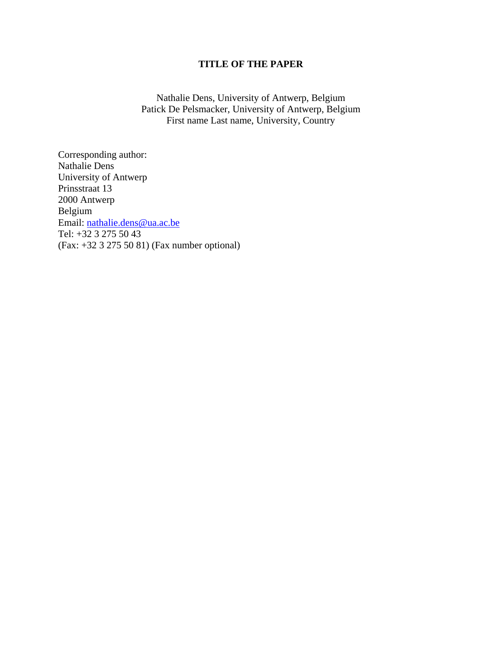## **TITLE OF THE PAPER**

Nathalie Dens, University of Antwerp, Belgium Patick De Pelsmacker, University of Antwerp, Belgium First name Last name, University, Country

Corresponding author: Nathalie Dens University of Antwerp Prinsstraat 13 2000 Antwerp Belgium Email: [nathalie.dens@ua.ac.be](mailto:nathalie.dens@ua.ac.be) Tel: +32 3 275 50 43 (Fax: +32 3 275 50 81) (Fax number optional)